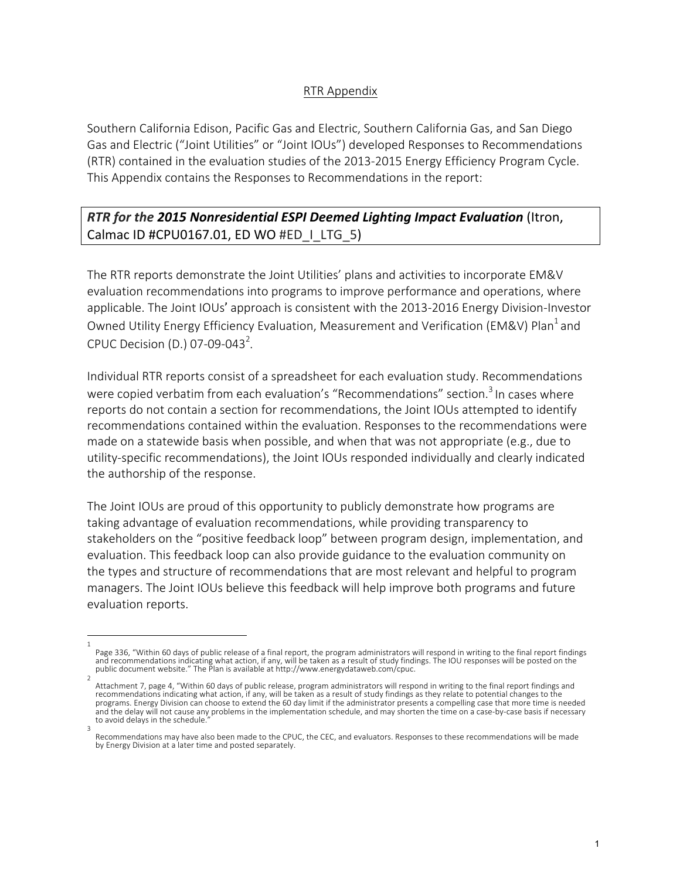## RTR Appendix

Southern California Edison, Pacific Gas and Electric, Southern California Gas, and San Diego Gas and Electric ("Joint Utilities" or "Joint IOUs") developed Responses to Recommendations (RTR) contained in the evaluation studies of the 2013-2015 Energy Efficiency Program Cycle. This Appendix contains the Responses to Recommendations in the report:

## *RTR for the 2015 Nonresidential ESPI Deemed Lighting Impact Evaluation (Itron,* Calmac ID #CPU0167.01, ED WO #ED\_I\_LTG\_5)

The RTR reports demonstrate the Joint Utilities' plans and activities to incorporate EM&V evaluation recommendations into programs to improve performance and operations, where applicable. The Joint IOUs' approach is consistent with the 2013-2016 Energy Division-Investor Owned Utility Energy Efficiency Evaluation, Measurement and Verification (EM&V) Plan<sup>1</sup> and CPUC Decision (D.) 07-09-043<sup>2</sup>.

Individual RTR reports consist of a spreadsheet for each evaluation study. Recommendations were copied verbatim from each evaluation's "Recommendations" section.<sup>3</sup> In cases where reports do not contain a section for recommendations, the Joint IOUs attempted to identify recommendations contained within the evaluation. Responses to the recommendations were made on a statewide basis when possible, and when that was not appropriate  $(e.g.,$  due to utility-specific recommendations), the Joint IOUs responded individually and clearly indicated the authorship of the response.

The Joint IOUs are proud of this opportunity to publicly demonstrate how programs are taking advantage of evaluation recommendations, while providing transparency to stakeholders on the "positive feedback loop" between program design, implementation, and evaluation. This feedback loop can also provide guidance to the evaluation community on the types and structure of recommendations that are most relevant and helpful to program managers. The Joint IOUs believe this feedback will help improve both programs and future evaluation reports.

<sup>1</sup>  Page 336, "Within 60 days of public release of a final report, the program administrators will respond in writing to the final report findings and recommendations indicating what action, if any, will be taken as a result of study findings. The IOU responses will be posted on the public document website." The Plan is available at http://www.energydataweb.com/cpuc.

<sup>2</sup>  Attachment 7, page 4, "Within 60 days of public release, program administrators will respond in writing to the final report findings and recommendations indicating what action, if any, will be taken as a result of study findings as they relate to potential changes to the programs. Energy Division can choose to extend the 60 day limit if the administrator presents a compelling case that more time is needed and the delay will not cause any problems in the implementation schedule, and may shorten the time on a case-by-case basis if necessary to avoid delays in the schedule. 3 

Recommendations may have also been made to the CPUC, the CEC, and evaluators. Responses to these recommendations will be made by Energy Division at a later time and posted separately.